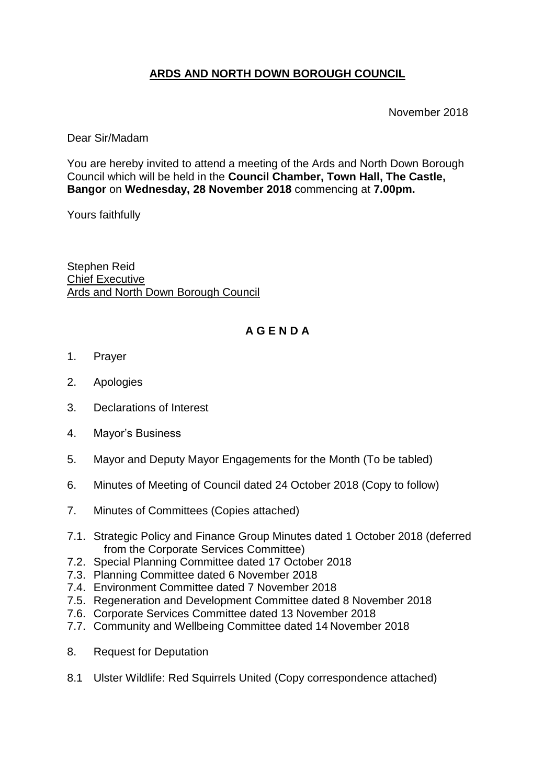## **ARDS AND NORTH DOWN BOROUGH COUNCIL**

November 2018

### Dear Sir/Madam

You are hereby invited to attend a meeting of the Ards and North Down Borough Council which will be held in the **Council Chamber, Town Hall, The Castle, Bangor** on **Wednesday, 28 November 2018** commencing at **7.00pm.** 

Yours faithfully

Stephen Reid Chief Executive Ards and North Down Borough Council

# **A G E N D A**

- 1. Prayer
- 2. Apologies
- 3. Declarations of Interest
- 4. Mayor's Business
- 5. Mayor and Deputy Mayor Engagements for the Month (To be tabled)
- 6. Minutes of Meeting of Council dated 24 October 2018 (Copy to follow)
- 7. Minutes of Committees (Copies attached)
- 7.1. Strategic Policy and Finance Group Minutes dated 1 October 2018 (deferred from the Corporate Services Committee)
- 7.2. Special Planning Committee dated 17 October 2018
- 7.3. Planning Committee dated 6 November 2018
- 7.4. Environment Committee dated 7 November 2018
- 7.5. Regeneration and Development Committee dated 8 November 2018
- 7.6. Corporate Services Committee dated 13 November 2018
- 7.7. Community and Wellbeing Committee dated 14 November 2018
- 8. Request for Deputation
- 8.1 Ulster Wildlife: Red Squirrels United (Copy correspondence attached)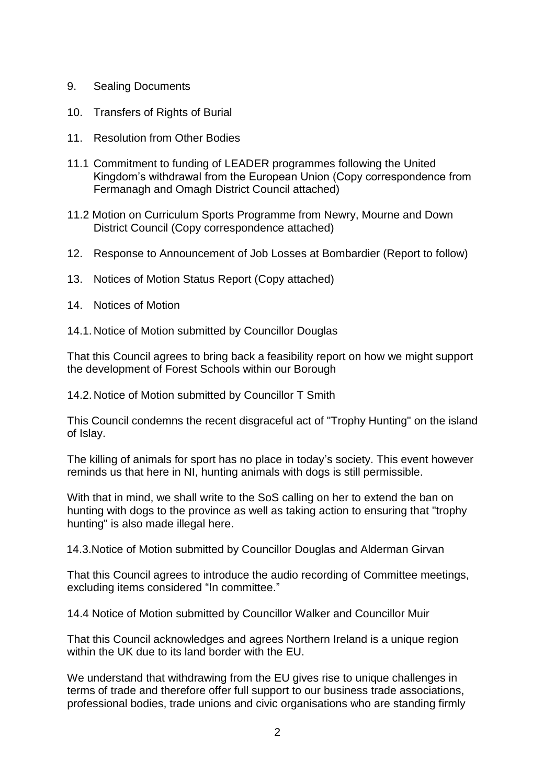- 9. Sealing Documents
- 10. Transfers of Rights of Burial
- 11. Resolution from Other Bodies
- 11.1 Commitment to funding of LEADER programmes following the United Kingdom's withdrawal from the European Union (Copy correspondence from Fermanagh and Omagh District Council attached)
- 11.2 Motion on Curriculum Sports Programme from Newry, Mourne and Down District Council (Copy correspondence attached)
- 12. Response to Announcement of Job Losses at Bombardier (Report to follow)
- 13. Notices of Motion Status Report (Copy attached)
- 14. Notices of Motion
- 14.1.Notice of Motion submitted by Councillor Douglas

That this Council agrees to bring back a feasibility report on how we might support the development of Forest Schools within our Borough

14.2.Notice of Motion submitted by Councillor T Smith

This Council condemns the recent disgraceful act of "Trophy Hunting" on the island of Islay.

The killing of animals for sport has no place in today's society. This event however reminds us that here in NI, hunting animals with dogs is still permissible.

With that in mind, we shall write to the SoS calling on her to extend the ban on hunting with dogs to the province as well as taking action to ensuring that "trophy hunting" is also made illegal here.

14.3.Notice of Motion submitted by Councillor Douglas and Alderman Girvan

That this Council agrees to introduce the audio recording of Committee meetings, excluding items considered "In committee."

14.4 Notice of Motion submitted by Councillor Walker and Councillor Muir

That this Council acknowledges and agrees Northern Ireland is a unique region within the UK due to its land border with the EU.

We understand that withdrawing from the EU gives rise to unique challenges in terms of trade and therefore offer full support to our business trade associations, professional bodies, trade unions and civic organisations who are standing firmly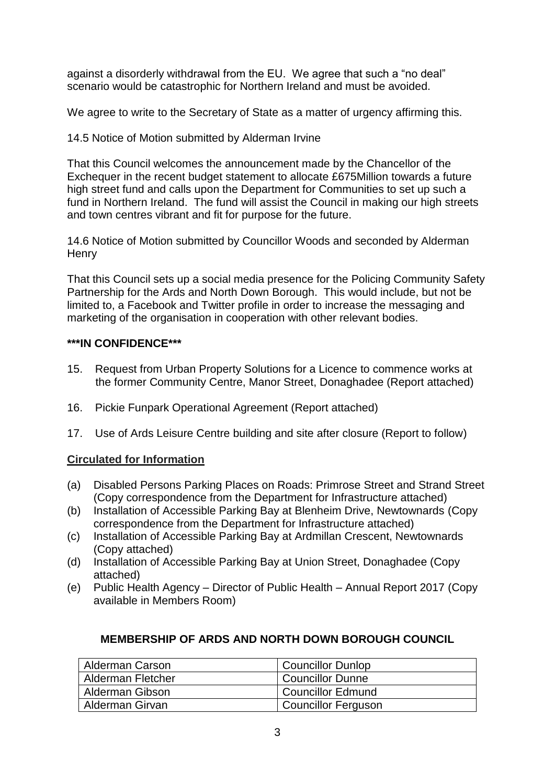against a disorderly withdrawal from the EU. We agree that such a "no deal" scenario would be catastrophic for Northern Ireland and must be avoided.

We agree to write to the Secretary of State as a matter of urgency affirming this.

14.5 Notice of Motion submitted by Alderman Irvine

That this Council welcomes the announcement made by the Chancellor of the Exchequer in the recent budget statement to allocate £675Million towards a future high street fund and calls upon the Department for Communities to set up such a fund in Northern Ireland. The fund will assist the Council in making our high streets and town centres vibrant and fit for purpose for the future.

14.6 Notice of Motion submitted by Councillor Woods and seconded by Alderman **Henry** 

That this Council sets up a social media presence for the Policing Community Safety Partnership for the Ards and North Down Borough. This would include, but not be limited to, a Facebook and Twitter profile in order to increase the messaging and marketing of the organisation in cooperation with other relevant bodies.

## **\*\*\*IN CONFIDENCE\*\*\***

- 15. Request from Urban Property Solutions for a Licence to commence works at the former Community Centre, Manor Street, Donaghadee (Report attached)
- 16. Pickie Funpark Operational Agreement (Report attached)
- 17. Use of Ards Leisure Centre building and site after closure (Report to follow)

#### **Circulated for Information**

- (a) Disabled Persons Parking Places on Roads: Primrose Street and Strand Street (Copy correspondence from the Department for Infrastructure attached)
- (b) Installation of Accessible Parking Bay at Blenheim Drive, Newtownards (Copy correspondence from the Department for Infrastructure attached)
- (c) Installation of Accessible Parking Bay at Ardmillan Crescent, Newtownards (Copy attached)
- (d) Installation of Accessible Parking Bay at Union Street, Donaghadee (Copy attached)
- (e) Public Health Agency Director of Public Health Annual Report 2017 (Copy available in Members Room)

#### **MEMBERSHIP OF ARDS AND NORTH DOWN BOROUGH COUNCIL**

| Alderman Carson          | <b>Councillor Dunlop</b>   |
|--------------------------|----------------------------|
| <b>Alderman Fletcher</b> | <b>Councillor Dunne</b>    |
| Alderman Gibson          | Councillor Edmund          |
| Alderman Girvan          | <b>Councillor Ferguson</b> |